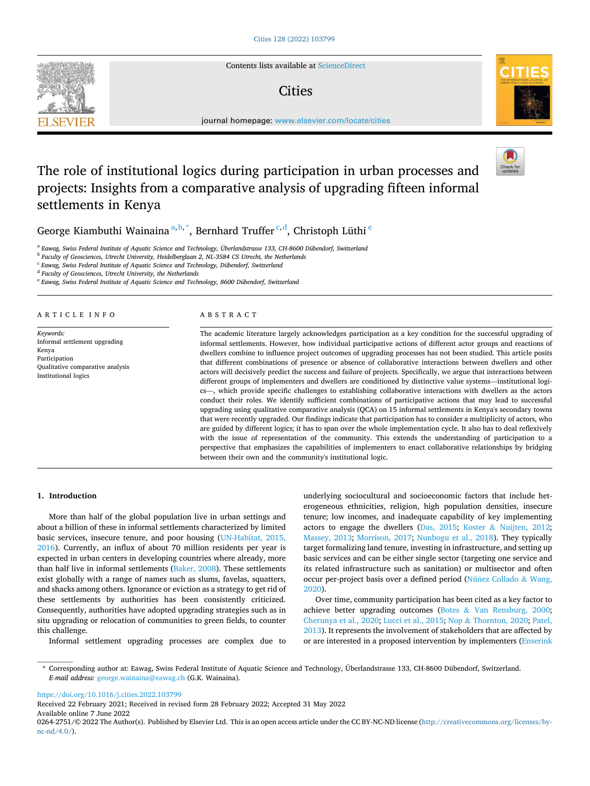

Contents lists available at [ScienceDirect](www.sciencedirect.com/science/journal/02642751)

## **Cities**



journal homepage: [www.elsevier.com/locate/cities](https://www.elsevier.com/locate/cities)

# The role of institutional logics during participation in urban processes and projects: Insights from a comparative analysis of upgrading fifteen informal settlements in Kenya

George Kiambuthi Wainaina<sup>a, b,\*</sup>, Bernhard Truffer<sup>c,d</sup>, Christoph Lüthi<sup>e</sup>

<sup>a</sup> *Eawag, Swiss Federal Institute of Aquatic Science and Technology, Überlandstrasse 133, CH-8600 Dübendorf, Switzerland* 

<sup>b</sup> *Faculty of Geosciences, Utrecht University, Heidelberglaan 2, NL-3584 CS Utrecht, the Netherlands* 

<sup>c</sup> *Eawag, Swiss Federal Institute of Aquatic Science and Technology, Dübendorf, Switzerland* 

<sup>d</sup> *Faculty of Geosciences, Utrecht University, the Netherlands* 

<sup>e</sup> *Eawag, Swiss Federal Institute of Aquatic Science and Technology, 8600 Dübendorf, Switzerland* 

ARTICLE INFO

*Keywords:*  Informal settlement upgrading Kenya Participation Qualitative comparative analysis Institutional logics

#### ABSTRACT

The academic literature largely acknowledges participation as a key condition for the successful upgrading of informal settlements. However, how individual participative actions of different actor groups and reactions of dwellers combine to influence project outcomes of upgrading processes has not been studied. This article posits that different combinations of presence or absence of collaborative interactions between dwellers and other actors will decisively predict the success and failure of projects. Specifically, we argue that interactions between different groups of implementers and dwellers are conditioned by distinctive value systems—institutional logics—, which provide specific challenges to establishing collaborative interactions with dwellers as the actors conduct their roles. We identify sufficient combinations of participative actions that may lead to successful upgrading using qualitative comparative analysis (QCA) on 15 informal settlements in Kenya's secondary towns that were recently upgraded. Our findings indicate that participation has to consider a multiplicity of actors, who are guided by different logics; it has to span over the whole implementation cycle. It also has to deal reflexively with the issue of representation of the community. This extends the understanding of participation to a perspective that emphasizes the capabilities of implementers to enact collaborative relationships by bridging between their own and the community's institutional logic.

## **1. Introduction**

More than half of the global population live in urban settings and about a billion of these in informal settlements characterized by limited basic services, insecure tenure, and poor housing ([UN-Habitat, 2015,](#page-11-0)  [2016\)](#page-11-0). Currently, an influx of about 70 million residents per year is expected in urban centers in developing countries where already, more than half live in informal settlements [\(Baker, 2008](#page-10-0)). These settlements exist globally with a range of names such as slums, favelas, squatters, and shacks among others. Ignorance or eviction as a strategy to get rid of these settlements by authorities has been consistently criticized. Consequently, authorities have adopted upgrading strategies such as in situ upgrading or relocation of communities to green fields, to counter this challenge.

Informal settlement upgrading processes are complex due to

underlying sociocultural and socioeconomic factors that include heterogeneous ethnicities, religion, high population densities, insecure tenure; low incomes, and inadequate capability of key implementing actors to engage the dwellers [\(Das, 2015](#page-10-0); Koster & [Nuijten, 2012](#page-10-0); [Massey, 2013](#page-10-0); [Morrison, 2017;](#page-11-0) [Nunbogu et al., 2018](#page-11-0)). They typically target formalizing land tenure, investing in infrastructure, and setting up basic services and can be either single sector (targeting one service and its related infrastructure such as sanitation) or multisector and often occur per-project basis over a defined period (Núñez [Collado](#page-11-0) & Wang, [2020\)](#page-11-0).

Over time, community participation has been cited as a key factor to achieve better upgrading outcomes (Botes & [Van Rensburg, 2000](#page-10-0); [Cherunya et al., 2020; Lucci et al., 2015](#page-10-0); Nop & [Thornton, 2020](#page-11-0); [Patel,](#page-11-0)  [2013\)](#page-11-0). It represents the involvement of stakeholders that are affected by or are interested in a proposed intervention by implementers [\(Enserink](#page-10-0) 

<https://doi.org/10.1016/j.cities.2022.103799>

Available online 7 June 2022 Received 22 February 2021; Received in revised form 28 February 2022; Accepted 31 May 2022

0264-2751/© 2022 The Author(s). Published by Elsevier Ltd. This is an open access article under the CC BY-NC-ND license([http://creativecommons.org/licenses/by](http://creativecommons.org/licenses/by-nc-nd/4.0/) $nc\text{-}nd/4.0/$ ).



<sup>\*</sup> Corresponding author at: Eawag, Swiss Federal Institute of Aquatic Science and Technology, Überlandstrasse 133, CH-8600 Dübendorf, Switzerland. *E-mail address:* [george.wainaina@eawag.ch](mailto:george.wainaina@eawag.ch) (G.K. Wainaina).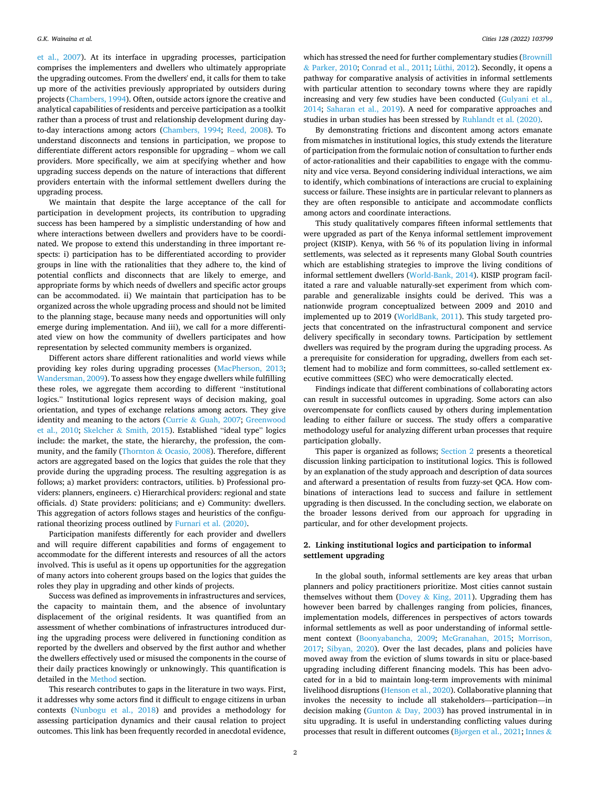<span id="page-1-0"></span>[et al., 2007\)](#page-10-0). At its interface in upgrading processes, participation comprises the implementers and dwellers who ultimately appropriate the upgrading outcomes. From the dwellers' end, it calls for them to take up more of the activities previously appropriated by outsiders during projects [\(Chambers, 1994](#page-10-0)). Often, outside actors ignore the creative and analytical capabilities of residents and perceive participation as a toolkit rather than a process of trust and relationship development during dayto-day interactions among actors [\(Chambers, 1994](#page-10-0); [Reed, 2008\)](#page-11-0). To understand disconnects and tensions in participation, we propose to differentiate different actors responsible for upgrading – whom we call providers. More specifically, we aim at specifying whether and how upgrading success depends on the nature of interactions that different providers entertain with the informal settlement dwellers during the upgrading process.

We maintain that despite the large acceptance of the call for participation in development projects, its contribution to upgrading success has been hampered by a simplistic understanding of how and where interactions between dwellers and providers have to be coordinated. We propose to extend this understanding in three important respects: i) participation has to be differentiated according to provider groups in line with the rationalities that they adhere to, the kind of potential conflicts and disconnects that are likely to emerge, and appropriate forms by which needs of dwellers and specific actor groups can be accommodated. ii) We maintain that participation has to be organized across the whole upgrading process and should not be limited to the planning stage, because many needs and opportunities will only emerge during implementation. And iii), we call for a more differentiated view on how the community of dwellers participates and how representation by selected community members is organized.

Different actors share different rationalities and world views while providing key roles during upgrading processes [\(MacPherson, 2013](#page-10-0); [Wandersman, 2009\)](#page-11-0). To assess how they engage dwellers while fulfilling these roles, we aggregate them according to different "institutional logics." Institutional logics represent ways of decision making, goal orientation, and types of exchange relations among actors. They give identity and meaning to the actors (Currie & [Guah, 2007](#page-10-0); [Greenwood](#page-10-0)  [et al., 2010](#page-10-0); Skelcher & [Smith, 2015](#page-11-0)). Established "ideal type" logics include: the market, the state, the hierarchy, the profession, the community, and the family (Thornton & [Ocasio, 2008](#page-11-0)). Therefore, different actors are aggregated based on the logics that guides the role that they provide during the upgrading process. The resulting aggregation is as follows; a) market providers: contractors, utilities. b) Professional providers: planners, engineers. c) Hierarchical providers: regional and state officials. d) State providers: politicians; and e) Community: dwellers. This aggregation of actors follows stages and heuristics of the configurational theorizing process outlined by [Furnari et al. \(2020\)](#page-10-0).

Participation manifests differently for each provider and dwellers and will require different capabilities and forms of engagement to accommodate for the different interests and resources of all the actors involved. This is useful as it opens up opportunities for the aggregation of many actors into coherent groups based on the logics that guides the roles they play in upgrading and other kinds of projects.

Success was defined as improvements in infrastructures and services, the capacity to maintain them, and the absence of involuntary displacement of the original residents. It was quantified from an assessment of whether combinations of infrastructures introduced during the upgrading process were delivered in functioning condition as reported by the dwellers and observed by the first author and whether the dwellers effectively used or misused the components in the course of their daily practices knowingly or unknowingly. This quantification is detailed in the [Method](#page-3-0) section.

This research contributes to gaps in the literature in two ways. First, it addresses why some actors find it difficult to engage citizens in urban contexts ([Nunbogu et al., 2018](#page-11-0)) and provides a methodology for assessing participation dynamics and their causal relation to project outcomes. This link has been frequently recorded in anecdotal evidence,

which has stressed the need for further complementary studies (Brownill & [Parker, 2010; Conrad et al., 2011; Lüthi, 2012](#page-10-0)). Secondly, it opens a pathway for comparative analysis of activities in informal settlements with particular attention to secondary towns where they are rapidly increasing and very few studies have been conducted [\(Gulyani et al.,](#page-10-0)  [2014;](#page-10-0) [Saharan et al., 2019\)](#page-11-0). A need for comparative approaches and studies in urban studies has been stressed by [Ruhlandt et al. \(2020\).](#page-11-0)

By demonstrating frictions and discontent among actors emanate from mismatches in institutional logics, this study extends the literature of participation from the formulaic notion of consultation to further ends of actor-rationalities and their capabilities to engage with the community and vice versa. Beyond considering individual interactions, we aim to identify, which combinations of interactions are crucial to explaining success or failure. These insights are in particular relevant to planners as they are often responsible to anticipate and accommodate conflicts among actors and coordinate interactions.

This study qualitatively compares fifteen informal settlements that were upgraded as part of the Kenya informal settlement improvement project (KISIP). Kenya, with 56 % of its population living in informal settlements, was selected as it represents many Global South countries which are establishing strategies to improve the living conditions of informal settlement dwellers ([World-Bank, 2014](#page-11-0)). KISIP program facilitated a rare and valuable naturally-set experiment from which comparable and generalizable insights could be derived. This was a nationwide program conceptualized between 2009 and 2010 and implemented up to 2019 [\(WorldBank, 2011\)](#page-11-0). This study targeted projects that concentrated on the infrastructural component and service delivery specifically in secondary towns. Participation by settlement dwellers was required by the program during the upgrading process. As a prerequisite for consideration for upgrading, dwellers from each settlement had to mobilize and form committees, so-called settlement executive committees (SEC) who were democratically elected.

Findings indicate that different combinations of collaborating actors can result in successful outcomes in upgrading. Some actors can also overcompensate for conflicts caused by others during implementation leading to either failure or success. The study offers a comparative methodology useful for analyzing different urban processes that require participation globally.

This paper is organized as follows; Section 2 presents a theoretical discussion linking participation to institutional logics. This is followed by an explanation of the study approach and description of data sources and afterward a presentation of results from fuzzy-set QCA. How combinations of interactions lead to success and failure in settlement upgrading is then discussed. In the concluding section, we elaborate on the broader lessons derived from our approach for upgrading in particular, and for other development projects.

## **2. Linking institutional logics and participation to informal settlement upgrading**

In the global south, informal settlements are key areas that urban planners and policy practitioners prioritize. Most cities cannot sustain themselves without them (Dovey & [King, 2011\)](#page-10-0). Upgrading them has however been barred by challenges ranging from policies, finances, implementation models, differences in perspectives of actors towards informal settlements as well as poor understanding of informal settlement context ([Boonyabancha, 2009](#page-10-0); [McGranahan, 2015](#page-10-0); [Morrison,](#page-11-0)  [2017;](#page-11-0) [Sibyan, 2020\)](#page-11-0). Over the last decades, plans and policies have moved away from the eviction of slums towards in situ or place-based upgrading including different financing models. This has been advocated for in a bid to maintain long-term improvements with minimal livelihood disruptions ([Henson et al., 2020\)](#page-10-0). Collaborative planning that invokes the necessity to include all stakeholders—participation—in decision making (Gunton & [Day, 2003](#page-10-0)) has proved instrumental in in situ upgrading. It is useful in understanding conflicting values during processes that result in different outcomes (Bjø[rgen et al., 2021; Innes](#page-10-0) &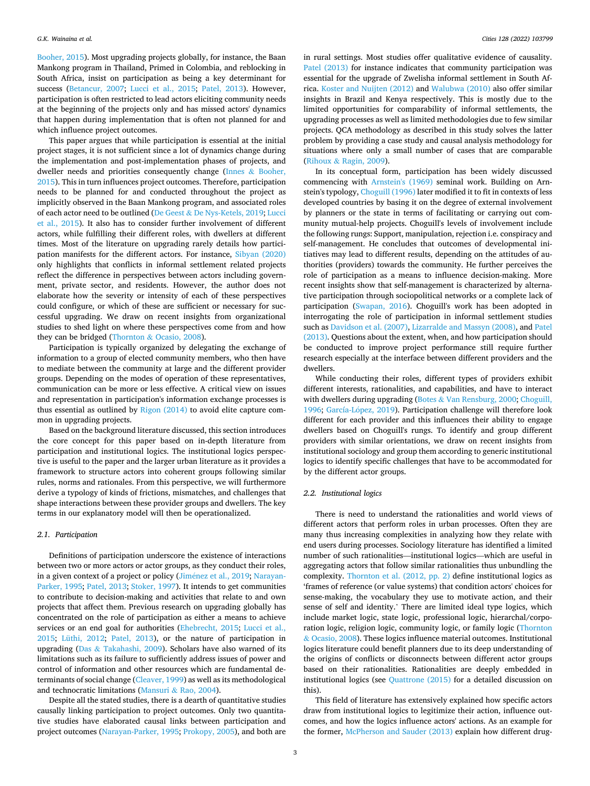[Booher, 2015](#page-10-0)). Most upgrading projects globally, for instance, the Baan Mankong program in Thailand, Primed in Colombia, and reblocking in South Africa, insist on participation as being a key determinant for success ([Betancur, 2007](#page-10-0); [Lucci et al., 2015;](#page-10-0) [Patel, 2013\)](#page-11-0). However, participation is often restricted to lead actors eliciting community needs at the beginning of the projects only and has missed actors' dynamics that happen during implementation that is often not planned for and which influence project outcomes.

This paper argues that while participation is essential at the initial project stages, it is not sufficient since a lot of dynamics change during the implementation and post-implementation phases of projects, and dweller needs and priorities consequently change (Innes & [Booher,](#page-10-0)  [2015\)](#page-10-0). This in turn influences project outcomes. Therefore, participation needs to be planned for and conducted throughout the project as implicitly observed in the Baan Mankong program, and associated roles of each actor need to be outlined (De Geest & [De Nys-Ketels, 2019](#page-10-0); [Lucci](#page-10-0)  [et al., 2015\)](#page-10-0). It also has to consider further involvement of different actors, while fulfilling their different roles, with dwellers at different times. Most of the literature on upgrading rarely details how participation manifests for the different actors. For instance, [Sibyan \(2020\)](#page-11-0)  only highlights that conflicts in informal settlement related projects reflect the difference in perspectives between actors including government, private sector, and residents. However, the author does not elaborate how the severity or intensity of each of these perspectives could configure, or which of these are sufficient or necessary for successful upgrading. We draw on recent insights from organizational studies to shed light on where these perspectives come from and how they can be bridged (Thornton & [Ocasio, 2008](#page-11-0)).

Participation is typically organized by delegating the exchange of information to a group of elected community members, who then have to mediate between the community at large and the different provider groups. Depending on the modes of operation of these representatives, communication can be more or less effective. A critical view on issues and representation in participation's information exchange processes is thus essential as outlined by [Rigon \(2014\)](#page-11-0) to avoid elite capture common in upgrading projects.

Based on the background literature discussed, this section introduces the core concept for this paper based on in-depth literature from participation and institutional logics. The institutional logics perspective is useful to the paper and the larger urban literature as it provides a framework to structure actors into coherent groups following similar rules, norms and rationales. From this perspective, we will furthermore derive a typology of kinds of frictions, mismatches, and challenges that shape interactions between these provider groups and dwellers. The key terms in our explanatory model will then be operationalized.

#### *2.1. Participation*

Definitions of participation underscore the existence of interactions between two or more actors or actor groups, as they conduct their roles, in a given context of a project or policy (Jiménez et al., 2019; [Narayan-](#page-11-0)[Parker, 1995](#page-11-0); [Patel, 2013;](#page-11-0) [Stoker, 1997\)](#page-11-0). It intends to get communities to contribute to decision-making and activities that relate to and own projects that affect them. Previous research on upgrading globally has concentrated on the role of participation as either a means to achieve services or an end goal for authorities [\(Ehebrecht, 2015;](#page-10-0) [Lucci et al.,](#page-10-0)  [2015;](#page-10-0) [Lüthi, 2012;](#page-10-0) [Patel, 2013\)](#page-11-0), or the nature of participation in upgrading (Das  $&$  [Takahashi, 2009\)](#page-10-0). Scholars have also warned of its limitations such as its failure to sufficiently address issues of power and control of information and other resources which are fundamental determinants of social change ([Cleaver, 1999](#page-10-0)) as well as its methodological and technocratic limitations (Mansuri & [Rao, 2004](#page-10-0)).

Despite all the stated studies, there is a dearth of quantitative studies causally linking participation to project outcomes. Only two quantitative studies have elaborated causal links between participation and project outcomes ([Narayan-Parker, 1995; Prokopy, 2005\)](#page-11-0), and both are

in rural settings. Most studies offer qualitative evidence of causality. [Patel \(2013\)](#page-11-0) for instance indicates that community participation was essential for the upgrade of Zwelisha informal settlement in South Africa. [Koster and Nuijten \(2012\)](#page-10-0) and [Walubwa \(2010\)](#page-11-0) also offer similar insights in Brazil and Kenya respectively. This is mostly due to the limited opportunities for comparability of informal settlements, the upgrading processes as well as limited methodologies due to few similar projects. QCA methodology as described in this study solves the latter problem by providing a case study and causal analysis methodology for situations where only a small number of cases that are comparable (Rihoux & [Ragin, 2009\)](#page-11-0).

In its conceptual form, participation has been widely discussed commencing with [Arnstein's \(1969\)](#page-10-0) seminal work. Building on Arnstein's typology, [Choguill \(1996\)](#page-10-0) later modified it to fit in contexts of less developed countries by basing it on the degree of external involvement by planners or the state in terms of facilitating or carrying out community mutual-help projects. Choguill's levels of involvement include the following rungs: Support, manipulation, rejection i.e. conspiracy and self-management. He concludes that outcomes of developmental initiatives may lead to different results, depending on the attitudes of authorities (providers) towards the community. He further perceives the role of participation as a means to influence decision-making. More recent insights show that self-management is characterized by alternative participation through sociopolitical networks or a complete lack of participation [\(Swapan, 2016](#page-11-0)). Choguill's work has been adopted in interrogating the role of participation in informal settlement studies such as [Davidson et al. \(2007\), Lizarralde and Massyn \(2008\),](#page-10-0) and [Patel](#page-11-0)  [\(2013\).](#page-11-0) Questions about the extent, when, and how participation should be conducted to improve project performance still require further research especially at the interface between different providers and the dwellers.

While conducting their roles, different types of providers exhibit different interests, rationalities, and capabilities, and have to interact with dwellers during upgrading (Botes & [Van Rensburg, 2000; Choguill,](#page-10-0)  [1996;](#page-10-0) García-López, 2019). Participation challenge will therefore look different for each provider and this influences their ability to engage dwellers based on Choguill's rungs. To identify and group different providers with similar orientations, we draw on recent insights from institutional sociology and group them according to generic institutional logics to identify specific challenges that have to be accommodated for by the different actor groups.

#### *2.2. Institutional logics*

There is need to understand the rationalities and world views of different actors that perform roles in urban processes. Often they are many thus increasing complexities in analyzing how they relate with end users during processes. Sociology literature has identified a limited number of such rationalities—institutional logics—which are useful in aggregating actors that follow similar rationalities thus unbundling the complexity. [Thornton et al. \(2012, pp. 2\)](#page-11-0) define institutional logics as 'frames of reference (or value systems) that condition actors' choices for sense-making, the vocabulary they use to motivate action, and their sense of self and identity.' There are limited ideal type logics, which include market logic, state logic, professional logic, hierarchal/corporation logic, religion logic, community logic, or family logic ([Thornton](#page-11-0)  & [Ocasio, 2008](#page-11-0)). These logics influence material outcomes. Institutional logics literature could benefit planners due to its deep understanding of the origins of conflicts or disconnects between different actor groups based on their rationalities. Rationalities are deeply embedded in institutional logics (see [Quattrone \(2015\)](#page-11-0) for a detailed discussion on this).

This field of literature has extensively explained how specific actors draw from institutional logics to legitimize their action, influence outcomes, and how the logics influence actors' actions. As an example for the former, [McPherson and Sauder \(2013\)](#page-10-0) explain how different drug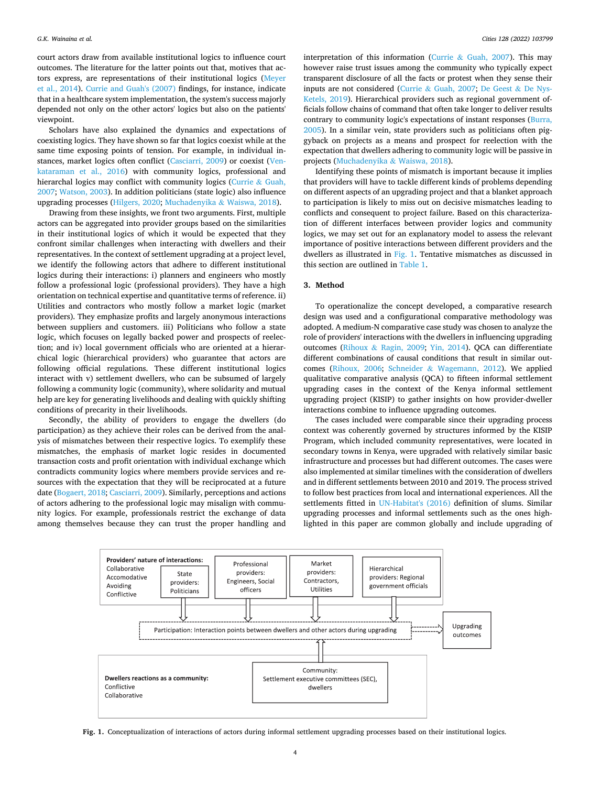<span id="page-3-0"></span>court actors draw from available institutional logics to influence court outcomes. The literature for the latter points out that, motives that actors express, are representations of their institutional logics ([Meyer](#page-10-0)  [et al., 2014\)](#page-10-0). [Currie and Guah's \(2007\)](#page-10-0) findings, for instance, indicate that in a healthcare system implementation, the system's success majorly depended not only on the other actors' logics but also on the patients' viewpoint.

Scholars have also explained the dynamics and expectations of coexisting logics. They have shown so far that logics coexist while at the same time exposing points of tension. For example, in individual instances, market logics often conflict ([Casciarri, 2009](#page-10-0)) or coexist [\(Ven](#page-11-0)[kataraman et al., 2016](#page-11-0)) with community logics, professional and hierarchal logics may conflict with community logics ([Currie](#page-10-0) & Guah, [2007;](#page-10-0) [Watson, 2003\)](#page-11-0). In addition politicians (state logic) also influence upgrading processes [\(Hilgers, 2020;](#page-10-0) [Muchadenyika](#page-11-0) & Waiswa, 2018).

Drawing from these insights, we front two arguments. First, multiple actors can be aggregated into provider groups based on the similarities in their institutional logics of which it would be expected that they confront similar challenges when interacting with dwellers and their representatives. In the context of settlement upgrading at a project level, we identify the following actors that adhere to different institutional logics during their interactions: i) planners and engineers who mostly follow a professional logic (professional providers). They have a high orientation on technical expertise and quantitative terms of reference. ii) Utilities and contractors who mostly follow a market logic (market providers). They emphasize profits and largely anonymous interactions between suppliers and customers. iii) Politicians who follow a state logic, which focuses on legally backed power and prospects of reelection; and iv) local government officials who are oriented at a hierarchical logic (hierarchical providers) who guarantee that actors are following official regulations. These different institutional logics interact with v) settlement dwellers, who can be subsumed of largely following a community logic (community), where solidarity and mutual help are key for generating livelihoods and dealing with quickly shifting conditions of precarity in their livelihoods.

Secondly, the ability of providers to engage the dwellers (do participation) as they achieve their roles can be derived from the analysis of mismatches between their respective logics. To exemplify these mismatches, the emphasis of market logic resides in documented transaction costs and profit orientation with individual exchange which contradicts community logics where members provide services and resources with the expectation that they will be reciprocated at a future date ([Bogaert, 2018; Casciarri, 2009\)](#page-10-0). Similarly, perceptions and actions of actors adhering to the professional logic may misalign with community logics. For example, professionals restrict the exchange of data among themselves because they can trust the proper handling and

interpretation of this information (Currie & [Guah, 2007\)](#page-10-0). This may however raise trust issues among the community who typically expect transparent disclosure of all the facts or protest when they sense their inputs are not considered (Currie & [Guah, 2007](#page-10-0); [De Geest](#page-10-0) & De Nys-[Ketels, 2019\)](#page-10-0). Hierarchical providers such as regional government officials follow chains of command that often take longer to deliver results contrary to community logic's expectations of instant responses ([Burra,](#page-10-0)  [2005\)](#page-10-0). In a similar vein, state providers such as politicians often piggyback on projects as a means and prospect for reelection with the expectation that dwellers adhering to community logic will be passive in projects ([Muchadenyika](#page-11-0) & Waiswa, 2018).

Identifying these points of mismatch is important because it implies that providers will have to tackle different kinds of problems depending on different aspects of an upgrading project and that a blanket approach to participation is likely to miss out on decisive mismatches leading to conflicts and consequent to project failure. Based on this characterization of different interfaces between provider logics and community logics, we may set out for an explanatory model to assess the relevant importance of positive interactions between different providers and the dwellers as illustrated in Fig. 1. Tentative mismatches as discussed in this section are outlined in [Table 1.](#page-4-0)

#### **3. Method**

To operationalize the concept developed, a comparative research design was used and a configurational comparative methodology was adopted. A medium-N comparative case study was chosen to analyze the role of providers' interactions with the dwellers in influencing upgrading outcomes (Rihoux & [Ragin, 2009;](#page-11-0) [Yin, 2014](#page-11-0)). QCA can differentiate different combinations of causal conditions that result in similar outcomes ([Rihoux, 2006;](#page-11-0) Schneider & [Wagemann, 2012](#page-11-0)). We applied qualitative comparative analysis (QCA) to fifteen informal settlement upgrading cases in the context of the Kenya informal settlement upgrading project (KISIP) to gather insights on how provider-dweller interactions combine to influence upgrading outcomes.

The cases included were comparable since their upgrading process context was coherently governed by structures informed by the KISIP Program, which included community representatives, were located in secondary towns in Kenya, were upgraded with relatively similar basic infrastructure and processes but had different outcomes. The cases were also implemented at similar timelines with the consideration of dwellers and in different settlements between 2010 and 2019. The process strived to follow best practices from local and international experiences. All the settlements fitted in [UN-Habitat's \(2016\)](#page-11-0) definition of slums. Similar upgrading processes and informal settlements such as the ones highlighted in this paper are common globally and include upgrading of



**Fig. 1.** Conceptualization of interactions of actors during informal settlement upgrading processes based on their institutional logics.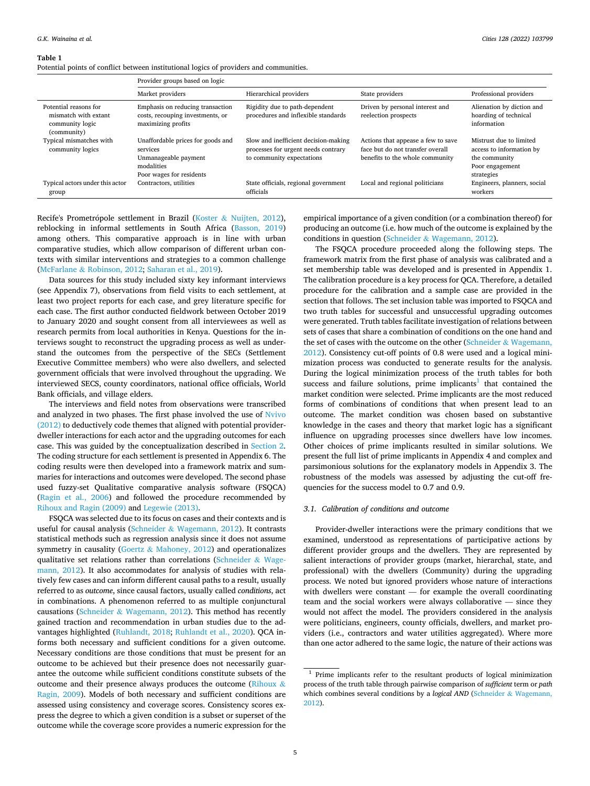#### <span id="page-4-0"></span>**Table 1**

Potential points of conflict between institutional logics of providers and communities.

|                                                                                 | Provider groups based on logic                                                                                  |                                                                                                          |                                                                                                           |                                                                                                       |
|---------------------------------------------------------------------------------|-----------------------------------------------------------------------------------------------------------------|----------------------------------------------------------------------------------------------------------|-----------------------------------------------------------------------------------------------------------|-------------------------------------------------------------------------------------------------------|
|                                                                                 | Market providers                                                                                                | Hierarchical providers                                                                                   | State providers                                                                                           | Professional providers                                                                                |
| Potential reasons for<br>mismatch with extant<br>community logic<br>(community) | Emphasis on reducing transaction<br>costs, recouping investments, or<br>maximizing profits                      | Rigidity due to path-dependent<br>procedures and inflexible standards                                    | Driven by personal interest and<br>reelection prospects                                                   | Alienation by diction and<br>hoarding of technical<br>information                                     |
| Typical mismatches with<br>community logics                                     | Unaffordable prices for goods and<br>services<br>Unmanageable payment<br>modalities<br>Poor wages for residents | Slow and inefficient decision-making<br>processes for urgent needs contrary<br>to community expectations | Actions that appease a few to save<br>face but do not transfer overall<br>benefits to the whole community | Mistrust due to limited<br>access to information by<br>the community<br>Poor engagement<br>strategies |
| Typical actors under this actor<br>group                                        | Contractors, utilities                                                                                          | State officials, regional government<br>officials                                                        | Local and regional politicians                                                                            | Engineers, planners, social<br>workers                                                                |

Recife's Prometrópole settlement in Brazil (Koster & [Nuijten, 2012](#page-10-0)), reblocking in informal settlements in South Africa ([Basson, 2019\)](#page-10-0) among others. This comparative approach is in line with urban comparative studies, which allow comparison of different urban contexts with similar interventions and strategies to a common challenge (McFarlane & [Robinson, 2012](#page-10-0); [Saharan et al., 2019\)](#page-11-0).

Data sources for this study included sixty key informant interviews (see Appendix 7), observations from field visits to each settlement, at least two project reports for each case, and grey literature specific for each case. The first author conducted fieldwork between October 2019 to January 2020 and sought consent from all interviewees as well as research permits from local authorities in Kenya. Questions for the interviews sought to reconstruct the upgrading process as well as understand the outcomes from the perspective of the SECs (Settlement Executive Committee members) who were also dwellers, and selected government officials that were involved throughout the upgrading. We interviewed SECS, county coordinators, national office officials, World Bank officials, and village elders.

The interviews and field notes from observations were transcribed and analyzed in two phases. The first phase involved the use of [Nvivo](#page-11-0)  [\(2012\)](#page-11-0) to deductively code themes that aligned with potential providerdweller interactions for each actor and the upgrading outcomes for each case. This was guided by the conceptualization described in [Section 2](#page-1-0). The coding structure for each settlement is presented in Appendix 6. The coding results were then developed into a framework matrix and summaries for interactions and outcomes were developed. The second phase used fuzzy-set Qualitative comparative analysis software (FSQCA) ([Ragin et al., 2006\)](#page-11-0) and followed the procedure recommended by [Rihoux and Ragin \(2009\)](#page-11-0) and [Legewie \(2013\)](#page-10-0).

FSQCA was selected due to its focus on cases and their contexts and is useful for causal analysis (Schneider & [Wagemann, 2012](#page-11-0)). It contrasts statistical methods such as regression analysis since it does not assume symmetry in causality (Goertz & [Mahoney, 2012](#page-10-0)) and operationalizes qualitative set relations rather than correlations ([Schneider](#page-11-0) & Wage[mann, 2012\)](#page-11-0). It also accommodates for analysis of studies with relatively few cases and can inform different causal paths to a result, usually referred to as *outcome*, since causal factors, usually called *conditions*, act in combinations. A phenomenon referred to as multiple conjunctural causations (Schneider & [Wagemann, 2012\)](#page-11-0). This method has recently gained traction and recommendation in urban studies due to the advantages highlighted [\(Ruhlandt, 2018](#page-11-0); [Ruhlandt et al., 2020\)](#page-11-0). QCA informs both necessary and sufficient conditions for a given outcome. Necessary conditions are those conditions that must be present for an outcome to be achieved but their presence does not necessarily guarantee the outcome while sufficient conditions constitute subsets of the outcome and their presence always produces the outcome [\(Rihoux](#page-11-0) & [Ragin, 2009](#page-11-0)). Models of both necessary and sufficient conditions are assessed using consistency and coverage scores. Consistency scores express the degree to which a given condition is a subset or superset of the outcome while the coverage score provides a numeric expression for the

empirical importance of a given condition (or a combination thereof) for producing an outcome (i.e. how much of the outcome is explained by the conditions in question (Schneider & [Wagemann, 2012](#page-11-0)).

The FSQCA procedure proceeded along the following steps. The framework matrix from the first phase of analysis was calibrated and a set membership table was developed and is presented in Appendix 1. The calibration procedure is a key process for QCA. Therefore, a detailed procedure for the calibration and a sample case are provided in the section that follows. The set inclusion table was imported to FSQCA and two truth tables for successful and unsuccessful upgrading outcomes were generated. Truth tables facilitate investigation of relations between sets of cases that share a combination of conditions on the one hand and the set of cases with the outcome on the other (Schneider  $\&$  Wagemann, [2012\)](#page-11-0). Consistency cut-off points of 0.8 were used and a logical minimization process was conducted to generate results for the analysis. During the logical minimization process of the truth tables for both success and failure solutions, prime implicants<sup>1</sup> that contained the market condition were selected. Prime implicants are the most reduced forms of combinations of conditions that when present lead to an outcome. The market condition was chosen based on substantive knowledge in the cases and theory that market logic has a significant influence on upgrading processes since dwellers have low incomes. Other choices of prime implicants resulted in similar solutions. We present the full list of prime implicants in Appendix 4 and complex and parsimonious solutions for the explanatory models in Appendix 3. The robustness of the models was assessed by adjusting the cut-off frequencies for the success model to 0.7 and 0.9.

## *3.1. Calibration of conditions and outcome*

Provider-dweller interactions were the primary conditions that we examined, understood as representations of participative actions by different provider groups and the dwellers. They are represented by salient interactions of provider groups (market, hierarchal, state, and professional) with the dwellers (Community) during the upgrading process. We noted but ignored providers whose nature of interactions with dwellers were constant — for example the overall coordinating team and the social workers were always collaborative — since they would not affect the model. The providers considered in the analysis were politicians, engineers, county officials, dwellers, and market providers (i.e., contractors and water utilities aggregated). Where more than one actor adhered to the same logic, the nature of their actions was

<sup>1</sup> Prime implicants refer to the resultant products of logical minimization process of the truth table through pairwise comparison of *sufficient* term or *path*  which combines several conditions by a *logical AND* (Schneider & Wagemann, [2012\)](#page-11-0).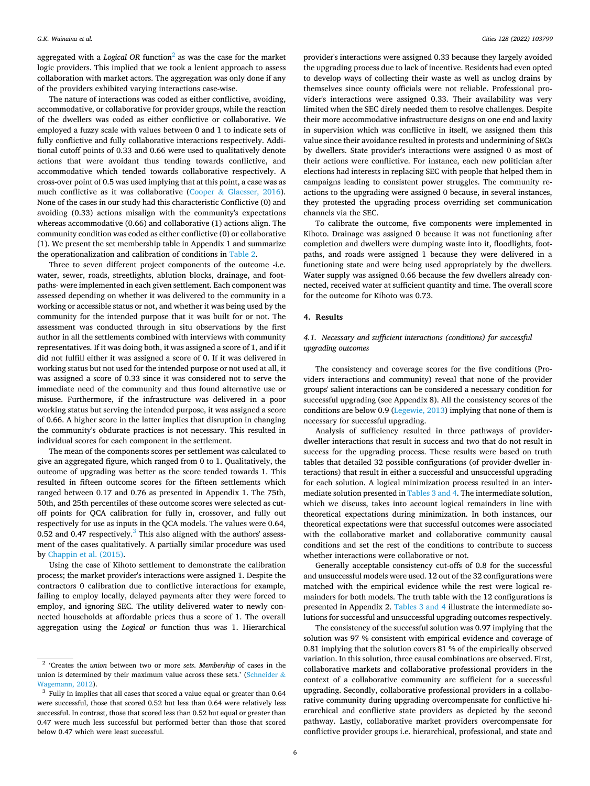aggregated with a *Logical OR* function<sup>2</sup> as was the case for the market logic providers. This implied that we took a lenient approach to assess collaboration with market actors. The aggregation was only done if any of the providers exhibited varying interactions case-wise.

The nature of interactions was coded as either conflictive, avoiding, accommodative, or collaborative for provider groups, while the reaction of the dwellers was coded as either conflictive or collaborative. We employed a fuzzy scale with values between 0 and 1 to indicate sets of fully conflictive and fully collaborative interactions respectively. Additional cutoff points of 0.33 and 0.66 were used to qualitatively denote actions that were avoidant thus tending towards conflictive, and accommodative which tended towards collaborative respectively. A cross-over point of 0.5 was used implying that at this point, a case was as much conflictive as it was collaborative (Cooper & [Glaesser, 2016](#page-10-0)). None of the cases in our study had this characteristic Conflictive (0) and avoiding (0.33) actions misalign with the community's expectations whereas accommodative (0.66) and collaborative (1) actions align. The community condition was coded as either conflictive (0) or collaborative (1). We present the set membership table in Appendix 1 and summarize the operationalization and calibration of conditions in [Table 2](#page-6-0).

Three to seven different project components of the outcome -i.e. water, sewer, roads, streetlights, ablution blocks, drainage, and footpaths- were implemented in each given settlement. Each component was assessed depending on whether it was delivered to the community in a working or accessible status or not, and whether it was being used by the community for the intended purpose that it was built for or not. The assessment was conducted through in situ observations by the first author in all the settlements combined with interviews with community representatives. If it was doing both, it was assigned a score of 1, and if it did not fulfill either it was assigned a score of 0. If it was delivered in working status but not used for the intended purpose or not used at all, it was assigned a score of 0.33 since it was considered not to serve the immediate need of the community and thus found alternative use or misuse. Furthermore, if the infrastructure was delivered in a poor working status but serving the intended purpose, it was assigned a score of 0.66. A higher score in the latter implies that disruption in changing the community's obdurate practices is not necessary. This resulted in individual scores for each component in the settlement.

The mean of the components scores per settlement was calculated to give an aggregated figure, which ranged from 0 to 1. Qualitatively, the outcome of upgrading was better as the score tended towards 1. This resulted in fifteen outcome scores for the fifteen settlements which ranged between 0.17 and 0.76 as presented in Appendix 1. The 75th, 50th, and 25th percentiles of these outcome scores were selected as cutoff points for QCA calibration for fully in, crossover, and fully out respectively for use as inputs in the QCA models. The values were 0.64, 0.52 and 0.47 respectively. $3$  This also aligned with the authors' assessment of the cases qualitatively. A partially similar procedure was used by [Chappin et al. \(2015\)](#page-10-0).

Using the case of Kihoto settlement to demonstrate the calibration process; the market provider's interactions were assigned 1. Despite the contractors 0 calibration due to conflictive interactions for example, failing to employ locally, delayed payments after they were forced to employ, and ignoring SEC. The utility delivered water to newly connected households at affordable prices thus a score of 1. The overall aggregation using the *Logical or* function thus was 1. Hierarchical

provider's interactions were assigned 0.33 because they largely avoided the upgrading process due to lack of incentive. Residents had even opted to develop ways of collecting their waste as well as unclog drains by themselves since county officials were not reliable. Professional provider's interactions were assigned 0.33. Their availability was very limited when the SEC direly needed them to resolve challenges. Despite their more accommodative infrastructure designs on one end and laxity in supervision which was conflictive in itself, we assigned them this value since their avoidance resulted in protests and undermining of SECs by dwellers. State provider's interactions were assigned 0 as most of their actions were conflictive. For instance, each new politician after elections had interests in replacing SEC with people that helped them in campaigns leading to consistent power struggles. The community reactions to the upgrading were assigned 0 because, in several instances, they protested the upgrading process overriding set communication channels via the SEC.

To calibrate the outcome, five components were implemented in Kihoto. Drainage was assigned 0 because it was not functioning after completion and dwellers were dumping waste into it, floodlights, footpaths, and roads were assigned 1 because they were delivered in a functioning state and were being used appropriately by the dwellers. Water supply was assigned 0.66 because the few dwellers already connected, received water at sufficient quantity and time. The overall score for the outcome for Kihoto was 0.73.

## **4. Results**

## *4.1. Necessary and sufficient interactions (conditions) for successful upgrading outcomes*

The consistency and coverage scores for the five conditions (Providers interactions and community) reveal that none of the provider groups' salient interactions can be considered a necessary condition for successful upgrading (see Appendix 8). All the consistency scores of the conditions are below 0.9 [\(Legewie, 2013](#page-10-0)) implying that none of them is necessary for successful upgrading.

Analysis of sufficiency resulted in three pathways of providerdweller interactions that result in success and two that do not result in success for the upgrading process. These results were based on truth tables that detailed 32 possible configurations (of provider-dweller interactions) that result in either a successful and unsuccessful upgrading for each solution. A logical minimization process resulted in an intermediate solution presented in [Tables 3 and 4](#page-7-0). The intermediate solution, which we discuss, takes into account logical remainders in line with theoretical expectations during minimization. In both instances, our theoretical expectations were that successful outcomes were associated with the collaborative market and collaborative community causal conditions and set the rest of the conditions to contribute to success whether interactions were collaborative or not.

Generally acceptable consistency cut-offs of 0.8 for the successful and unsuccessful models were used. 12 out of the 32 configurations were matched with the empirical evidence while the rest were logical remainders for both models. The truth table with the 12 configurations is presented in Appendix 2. [Tables 3 and 4](#page-7-0) illustrate the intermediate solutions for successful and unsuccessful upgrading outcomes respectively.

The consistency of the successful solution was 0.97 implying that the solution was 97 % consistent with empirical evidence and coverage of 0.81 implying that the solution covers 81 % of the empirically observed variation. In this solution, three causal combinations are observed. First, collaborative markets and collaborative professional providers in the context of a collaborative community are sufficient for a successful upgrading. Secondly, collaborative professional providers in a collaborative community during upgrading overcompensate for conflictive hierarchical and conflictive state providers as depicted by the second pathway. Lastly, collaborative market providers overcompensate for conflictive provider groups i.e. hierarchical, professional, and state and

<sup>2 &#</sup>x27;Creates the *union* between two or more *sets*. *Membership* of cases in the union is determined by their maximum value across these sets.' [\(Schneider](#page-11-0)  $\&$ [Wagemann, 2012\)](#page-11-0).  $\frac{3}{10}$  Fully in implies that all cases that scored a value equal or greater than 0.64

were successful, those that scored 0.52 but less than 0.64 were relatively less successful. In contrast, those that scored less than 0.52 but equal or greater than 0.47 were much less successful but performed better than those that scored below 0.47 which were least successful.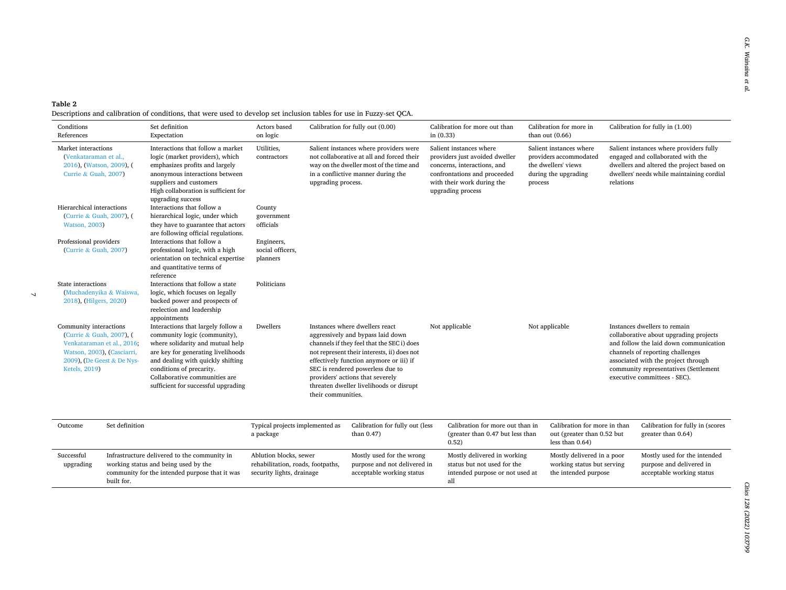#### <span id="page-6-0"></span>**Table 2**  Descriptions and calibration of conditions, that were used to develop set inclusion tables for use in Fuzzy-set QCA.

 $\bar{\mathcal{A}}$ 

| Conditions<br>References                                                                                                                                      | Set definition<br>Expectation                                                                                                                                                                                                                                                         | Actors based<br>on logic                                                                 | Calibration for fully out (0.00)                                                                                                                                                                                                                                                                                                                     | Calibration for more out than<br>in $(0.33)$                                                                                                                                | Calibration for more in<br>than out $(0.66)$                                                                | Calibration for fully in (1.00)                                                                                                                                                                                                                                      |
|---------------------------------------------------------------------------------------------------------------------------------------------------------------|---------------------------------------------------------------------------------------------------------------------------------------------------------------------------------------------------------------------------------------------------------------------------------------|------------------------------------------------------------------------------------------|------------------------------------------------------------------------------------------------------------------------------------------------------------------------------------------------------------------------------------------------------------------------------------------------------------------------------------------------------|-----------------------------------------------------------------------------------------------------------------------------------------------------------------------------|-------------------------------------------------------------------------------------------------------------|----------------------------------------------------------------------------------------------------------------------------------------------------------------------------------------------------------------------------------------------------------------------|
| Market interactions<br>(Venkataraman et al.,<br>2016), (Watson, 2009), (<br>Currie & Guah, 2007)                                                              | Interactions that follow a market<br>logic (market providers), which<br>emphasizes profits and largely<br>anonymous interactions between<br>suppliers and customers<br>High collaboration is sufficient for<br>upgrading success                                                      | Utilities,<br>contractors                                                                | Salient instances where providers were<br>not collaborative at all and forced their<br>way on the dweller most of the time and<br>in a conflictive manner during the<br>upgrading process.                                                                                                                                                           | Salient instances where<br>providers just avoided dweller<br>concerns, interactions, and<br>confrontations and proceeded<br>with their work during the<br>upgrading process | Salient instances where<br>providers accommodated<br>the dwellers' views<br>during the upgrading<br>process | Salient instances where providers fully<br>engaged and collaborated with the<br>dwellers and altered the project based on<br>dwellers' needs while maintaining cordial<br>relations                                                                                  |
| Hierarchical interactions<br>(Currie & Guah, 2007), (<br><b>Watson, 2003)</b>                                                                                 | Interactions that follow a<br>hierarchical logic, under which<br>they have to guarantee that actors<br>are following official regulations.                                                                                                                                            | County<br>government<br>officials                                                        |                                                                                                                                                                                                                                                                                                                                                      |                                                                                                                                                                             |                                                                                                             |                                                                                                                                                                                                                                                                      |
| Professional providers<br>(Currie & Guah, 2007)                                                                                                               | Interactions that follow a<br>professional logic, with a high<br>orientation on technical expertise<br>and quantitative terms of<br>reference                                                                                                                                         | Engineers,<br>social officers,<br>planners                                               |                                                                                                                                                                                                                                                                                                                                                      |                                                                                                                                                                             |                                                                                                             |                                                                                                                                                                                                                                                                      |
| State interactions<br>(Muchadenyika & Waiswa,<br>2018), (Hilgers, 2020)                                                                                       | Interactions that follow a state<br>logic, which focuses on legally<br>backed power and prospects of<br>reelection and leadership<br>appointments                                                                                                                                     | Politicians                                                                              |                                                                                                                                                                                                                                                                                                                                                      |                                                                                                                                                                             |                                                                                                             |                                                                                                                                                                                                                                                                      |
| Community interactions<br>(Currie & Guah, 2007), (<br>Venkataraman et al., 2016;<br>Watson, 2003), (Casciarri,<br>2009), (De Geest & De Nys-<br>Ketels, 2019) | Interactions that largely follow a<br>community logic (community),<br>where solidarity and mutual help<br>are key for generating livelihoods<br>and dealing with quickly shifting<br>conditions of precarity.<br>Collaborative communities are<br>sufficient for successful upgrading | Dwellers                                                                                 | Instances where dwellers react<br>aggressively and bypass laid down<br>channels if they feel that the SEC i) does<br>not represent their interests, ii) does not<br>effectively function anymore or iii) if<br>SEC is rendered powerless due to<br>providers' actions that severely<br>threaten dweller livelihoods or disrupt<br>their communities. | Not applicable                                                                                                                                                              | Not applicable                                                                                              | Instances dwellers to remain<br>collaborative about upgrading projects<br>and follow the laid down communication<br>channels of reporting challenges<br>associated with the project through<br>community representatives (Settlement<br>executive committees - SEC). |
| Outcome                                                                                                                                                       | Set definition                                                                                                                                                                                                                                                                        | Typical projects implemented as<br>a package                                             | Calibration for fully out (less<br>than $0.47$ )                                                                                                                                                                                                                                                                                                     | Calibration for more out than in<br>(greater than 0.47 but less than<br>0.52)                                                                                               | Calibration for more in than<br>out (greater than 0.52 but<br>less than $0.64$ )                            | Calibration for fully in (scores<br>greater than 0.64)                                                                                                                                                                                                               |
| Successful<br>upgrading<br>built for.                                                                                                                         | Infrastructure delivered to the community in<br>working status and being used by the<br>community for the intended purpose that it was                                                                                                                                                | Ablution blocks, sewer<br>rehabilitation, roads, footpaths,<br>security lights, drainage | Mostly used for the wrong<br>purpose and not delivered in<br>acceptable working status                                                                                                                                                                                                                                                               | Mostly delivered in working<br>status but not used for the<br>intended purpose or not used at<br>all                                                                        | Mostly delivered in a poor<br>working status but serving<br>the intended purpose                            | Mostly used for the intended<br>purpose and delivered in<br>acceptable working status                                                                                                                                                                                |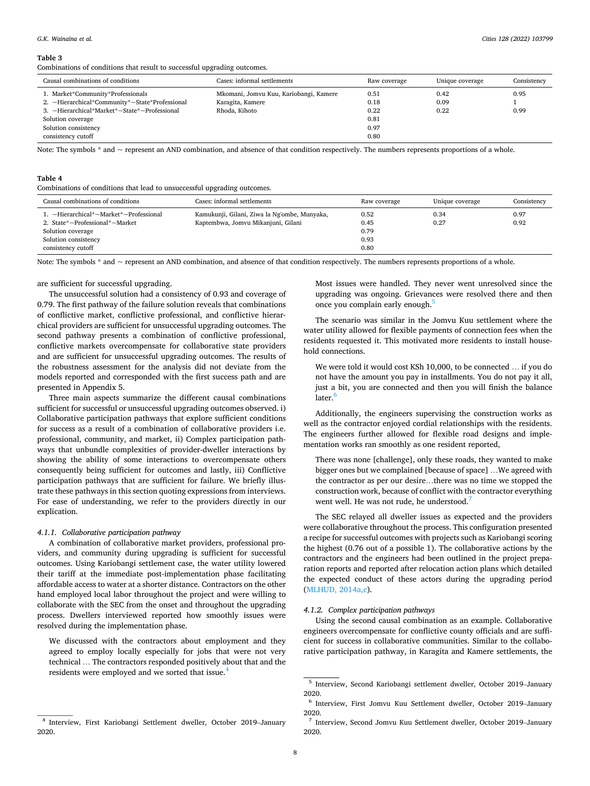#### <span id="page-7-0"></span>**Table 3**

Combinations of conditions that result to successful upgrading outcomes.

| Causal combinations of conditions              | Cases: informal settlements            | Raw coverage | Unique coverage | Consistency |
|------------------------------------------------|----------------------------------------|--------------|-----------------|-------------|
| 1. Market*Community*Professionals              | Mkomani, Jomvu Kuu, Kariobangi, Kamere | 0.51         | 0.42            | 0.95        |
| 2. ~Hierarchical*Community*~State*Professional | Karagita, Kamere                       | 0.18         | 0.09            |             |
| 3. ~Hierarchical*Market*~State*~Professional   | Rhoda, Kihoto                          | 0.22         | 0.22            | 0.99        |
| Solution coverage                              |                                        | 0.81         |                 |             |
| Solution consistency                           |                                        | 0.97         |                 |             |
| consistency cutoff                             |                                        | 0.80         |                 |             |

Note: The symbols  $*$  and  $\sim$  represent an AND combination, and absence of that condition respectively. The numbers represents proportions of a whole.

## **Table 4**

Combinations of conditions that lead to unsuccessful upgrading outcomes.

| Causal combinations of conditions      | Cases: informal settlements                  | Raw coverage | Unique coverage | Consistency |
|----------------------------------------|----------------------------------------------|--------------|-----------------|-------------|
| 1. ~Hierarchical*~Market*~Professional | Kamukunji, Gilani, Ziwa la Ng'ombe, Munyaka, | 0.52         | 0.34            | 0.97        |
| 2. State*~Professional*~Market         | Kaptembwa, Jomvu Mikanjuni, Gilani           | 0.45         | 0.27            | 0.92        |
| Solution coverage                      |                                              | 0.79         |                 |             |
| Solution consistency                   |                                              | 0.93         |                 |             |
| consistency cutoff                     |                                              | 0.80         |                 |             |

Note: The symbols \* and ~ represent an AND combination, and absence of that condition respectively. The numbers represents proportions of a whole.

#### are sufficient for successful upgrading.

The unsuccessful solution had a consistency of 0.93 and coverage of 0.79. The first pathway of the failure solution reveals that combinations of conflictive market, conflictive professional, and conflictive hierarchical providers are sufficient for unsuccessful upgrading outcomes. The second pathway presents a combination of conflictive professional, conflictive markets overcompensate for collaborative state providers and are sufficient for unsuccessful upgrading outcomes. The results of the robustness assessment for the analysis did not deviate from the models reported and corresponded with the first success path and are presented in Appendix 5.

Three main aspects summarize the different causal combinations sufficient for successful or unsuccessful upgrading outcomes observed. i) Collaborative participation pathways that explore sufficient conditions for success as a result of a combination of collaborative providers i.e. professional, community, and market, ii) Complex participation pathways that unbundle complexities of provider-dweller interactions by showing the ability of some interactions to overcompensate others consequently being sufficient for outcomes and lastly, iii) Conflictive participation pathways that are sufficient for failure. We briefly illustrate these pathways in this section quoting expressions from interviews. For ease of understanding, we refer to the providers directly in our explication.

#### *4.1.1. Collaborative participation pathway*

A combination of collaborative market providers, professional providers, and community during upgrading is sufficient for successful outcomes. Using Kariobangi settlement case, the water utility lowered their tariff at the immediate post-implementation phase facilitating affordable access to water at a shorter distance. Contractors on the other hand employed local labor throughout the project and were willing to collaborate with the SEC from the onset and throughout the upgrading process. Dwellers interviewed reported how smoothly issues were resolved during the implementation phase.

We discussed with the contractors about employment and they agreed to employ locally especially for jobs that were not very technical … The contractors responded positively about that and the residents were employed and we sorted that issue.<sup>4</sup>

Most issues were handled. They never went unresolved since the upgrading was ongoing. Grievances were resolved there and then once you complain early enough.<sup>5</sup>

The scenario was similar in the Jomvu Kuu settlement where the water utility allowed for flexible payments of connection fees when the residents requested it. This motivated more residents to install household connections.

We were told it would cost KSh 10,000, to be connected … if you do not have the amount you pay in installments. You do not pay it all, just a bit, you are connected and then you will finish the balance later.<sup>6</sup>

Additionally, the engineers supervising the construction works as well as the contractor enjoyed cordial relationships with the residents. The engineers further allowed for flexible road designs and implementation works ran smoothly as one resident reported,

There was none [challenge], only these roads, they wanted to make bigger ones but we complained [because of space] …We agreed with the contractor as per our desire…there was no time we stopped the construction work, because of conflict with the contractor everything went well. He was not rude, he understood.<sup>7</sup>

The SEC relayed all dweller issues as expected and the providers were collaborative throughout the process. This configuration presented a recipe for successful outcomes with projects such as Kariobangi scoring the highest (0.76 out of a possible 1). The collaborative actions by the contractors and the engineers had been outlined in the project preparation reports and reported after relocation action plans which detailed the expected conduct of these actors during the upgrading period ([MLHUD, 2014a,c\)](#page-10-0).

#### *4.1.2. Complex participation pathways*

Using the second causal combination as an example. Collaborative engineers overcompensate for conflictive county officials and are sufficient for success in collaborative communities. Similar to the collaborative participation pathway, in Karagita and Kamere settlements, the

<sup>4</sup> Interview, First Kariobangi Settlement dweller, October 2019–January 2020.

<sup>5</sup> Interview, Second Kariobangi settlement dweller, October 2019–January 2020.

<sup>6</sup> Interview, First Jomvu Kuu Settlement dweller, October 2019–January 2020.

<sup>7</sup> Interview, Second Jomvu Kuu Settlement dweller, October 2019–January 2020.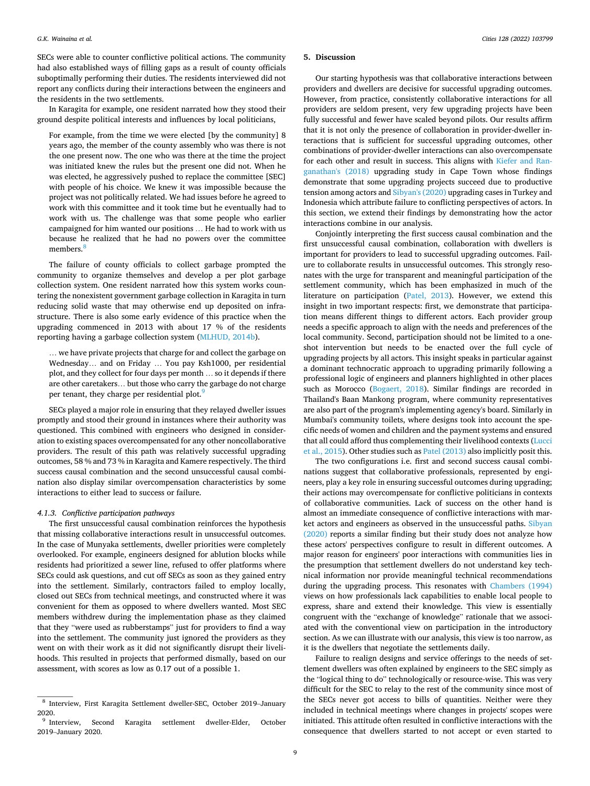SECs were able to counter conflictive political actions. The community had also established ways of filling gaps as a result of county officials suboptimally performing their duties. The residents interviewed did not report any conflicts during their interactions between the engineers and the residents in the two settlements.

In Karagita for example, one resident narrated how they stood their ground despite political interests and influences by local politicians,

For example, from the time we were elected [by the community] 8 years ago, the member of the county assembly who was there is not the one present now. The one who was there at the time the project was initiated knew the rules but the present one did not. When he was elected, he aggressively pushed to replace the committee [SEC] with people of his choice. We knew it was impossible because the project was not politically related. We had issues before he agreed to work with this committee and it took time but he eventually had to work with us. The challenge was that some people who earlier campaigned for him wanted our positions … He had to work with us because he realized that he had no powers over the committee members<sup>8</sup>

The failure of county officials to collect garbage prompted the community to organize themselves and develop a per plot garbage collection system. One resident narrated how this system works countering the nonexistent government garbage collection in Karagita in turn reducing solid waste that may otherwise end up deposited on infrastructure. There is also some early evidence of this practice when the upgrading commenced in 2013 with about 17 % of the residents reporting having a garbage collection system ([MLHUD, 2014b](#page-10-0)).

… we have private projects that charge for and collect the garbage on Wednesday… and on Friday … You pay Ksh1000, per residential plot, and they collect for four days per month … so it depends if there are other caretakers… but those who carry the garbage do not charge per tenant, they charge per residential plot.<sup>9</sup>

SECs played a major role in ensuring that they relayed dweller issues promptly and stood their ground in instances where their authority was questioned. This combined with engineers who designed in consideration to existing spaces overcompensated for any other noncollaborative providers. The result of this path was relatively successful upgrading outcomes, 58 % and 73 % in Karagita and Kamere respectively. The third success causal combination and the second unsuccessful causal combination also display similar overcompensation characteristics by some interactions to either lead to success or failure.

#### *4.1.3. Conflictive participation pathways*

The first unsuccessful causal combination reinforces the hypothesis that missing collaborative interactions result in unsuccessful outcomes. In the case of Munyaka settlements, dweller priorities were completely overlooked. For example, engineers designed for ablution blocks while residents had prioritized a sewer line, refused to offer platforms where SECs could ask questions, and cut off SECs as soon as they gained entry into the settlement. Similarly, contractors failed to employ locally, closed out SECs from technical meetings, and constructed where it was convenient for them as opposed to where dwellers wanted. Most SEC members withdrew during the implementation phase as they claimed that they "were used as rubberstamps" just for providers to find a way into the settlement. The community just ignored the providers as they went on with their work as it did not significantly disrupt their livelihoods. This resulted in projects that performed dismally, based on our assessment, with scores as low as 0.17 out of a possible 1.

#### **5. Discussion**

Our starting hypothesis was that collaborative interactions between providers and dwellers are decisive for successful upgrading outcomes. However, from practice, consistently collaborative interactions for all providers are seldom present, very few upgrading projects have been fully successful and fewer have scaled beyond pilots. Our results affirm that it is not only the presence of collaboration in provider-dweller interactions that is sufficient for successful upgrading outcomes, other combinations of provider-dweller interactions can also overcompensate for each other and result in success. This aligns with [Kiefer and Ran](#page-10-0)[ganathan's \(2018\)](#page-10-0) upgrading study in Cape Town whose findings demonstrate that some upgrading projects succeed due to productive tension among actors and [Sibyan's \(2020\)](#page-11-0) upgrading cases in Turkey and Indonesia which attribute failure to conflicting perspectives of actors. In this section, we extend their findings by demonstrating how the actor interactions combine in our analysis.

Conjointly interpreting the first success causal combination and the first unsuccessful causal combination, collaboration with dwellers is important for providers to lead to successful upgrading outcomes. Failure to collaborate results in unsuccessful outcomes. This strongly resonates with the urge for transparent and meaningful participation of the settlement community, which has been emphasized in much of the literature on participation ([Patel, 2013](#page-11-0)). However, we extend this insight in two important respects: first, we demonstrate that participation means different things to different actors. Each provider group needs a specific approach to align with the needs and preferences of the local community. Second, participation should not be limited to a oneshot intervention but needs to be enacted over the full cycle of upgrading projects by all actors. This insight speaks in particular against a dominant technocratic approach to upgrading primarily following a professional logic of engineers and planners highlighted in other places such as Morocco [\(Bogaert, 2018](#page-10-0)). Similar findings are recorded in Thailand's Baan Mankong program, where community representatives are also part of the program's implementing agency's board. Similarly in Mumbai's community toilets, where designs took into account the specific needs of women and children and the payment systems and ensured that all could afford thus complementing their livelihood contexts [\(Lucci](#page-10-0)  [et al., 2015\)](#page-10-0). Other studies such as [Patel \(2013\)](#page-11-0) also implicitly posit this.

The two configurations i.e. first and second success causal combinations suggest that collaborative professionals, represented by engineers, play a key role in ensuring successful outcomes during upgrading; their actions may overcompensate for conflictive politicians in contexts of collaborative communities. Lack of success on the other hand is almost an immediate consequence of conflictive interactions with market actors and engineers as observed in the unsuccessful paths. [Sibyan](#page-11-0)  [\(2020\)](#page-11-0) reports a similar finding but their study does not analyze how these actors' perspectives configure to result in different outcomes. A major reason for engineers' poor interactions with communities lies in the presumption that settlement dwellers do not understand key technical information nor provide meaningful technical recommendations during the upgrading process. This resonates with [Chambers \(1994\)](#page-10-0)  views on how professionals lack capabilities to enable local people to express, share and extend their knowledge. This view is essentially congruent with the "exchange of knowledge" rationale that we associated with the conventional view on participation in the introductory section. As we can illustrate with our analysis, this view is too narrow, as it is the dwellers that negotiate the settlements daily.

Failure to realign designs and service offerings to the needs of settlement dwellers was often explained by engineers to the SEC simply as the "logical thing to do" technologically or resource-wise. This was very difficult for the SEC to relay to the rest of the community since most of the SECs never got access to bills of quantities. Neither were they included in technical meetings where changes in projects' scopes were initiated. This attitude often resulted in conflictive interactions with the consequence that dwellers started to not accept or even started to

<sup>8</sup> Interview, First Karagita Settlement dweller-SEC, October 2019–January  $^{2020.}$   $^{\circ}$  Interview,

Second Karagita settlement dweller-Elder, October 2019–January 2020.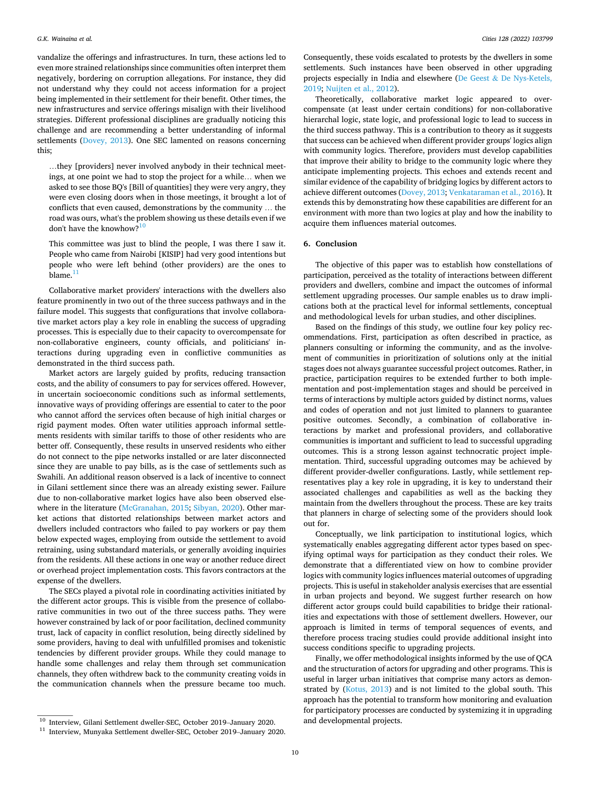vandalize the offerings and infrastructures. In turn, these actions led to even more strained relationships since communities often interpret them negatively, bordering on corruption allegations. For instance, they did not understand why they could not access information for a project being implemented in their settlement for their benefit. Other times, the new infrastructures and service offerings misalign with their livelihood strategies. Different professional disciplines are gradually noticing this challenge and are recommending a better understanding of informal settlements ([Dovey, 2013](#page-10-0)). One SEC lamented on reasons concerning this;

…they [providers] never involved anybody in their technical meetings, at one point we had to stop the project for a while… when we asked to see those BQ's [Bill of quantities] they were very angry, they were even closing doors when in those meetings, it brought a lot of conflicts that even caused, demonstrations by the community … the road was ours, what's the problem showing us these details even if we don't have the knowhow?<sup>10</sup>

This committee was just to blind the people, I was there I saw it. People who came from Nairobi [KISIP] had very good intentions but people who were left behind (other providers) are the ones to blame. $11$ 

Collaborative market providers' interactions with the dwellers also feature prominently in two out of the three success pathways and in the failure model. This suggests that configurations that involve collaborative market actors play a key role in enabling the success of upgrading processes. This is especially due to their capacity to overcompensate for non-collaborative engineers, county officials, and politicians' interactions during upgrading even in conflictive communities as demonstrated in the third success path.

Market actors are largely guided by profits, reducing transaction costs, and the ability of consumers to pay for services offered. However, in uncertain socioeconomic conditions such as informal settlements, innovative ways of providing offerings are essential to cater to the poor who cannot afford the services often because of high initial charges or rigid payment modes. Often water utilities approach informal settlements residents with similar tariffs to those of other residents who are better off. Consequently, these results in unserved residents who either do not connect to the pipe networks installed or are later disconnected since they are unable to pay bills, as is the case of settlements such as Swahili. An additional reason observed is a lack of incentive to connect in Gilani settlement since there was an already existing sewer. Failure due to non-collaborative market logics have also been observed elsewhere in the literature [\(McGranahan, 2015;](#page-10-0) [Sibyan, 2020\)](#page-11-0). Other market actions that distorted relationships between market actors and dwellers included contractors who failed to pay workers or pay them below expected wages, employing from outside the settlement to avoid retraining, using substandard materials, or generally avoiding inquiries from the residents. All these actions in one way or another reduce direct or overhead project implementation costs. This favors contractors at the expense of the dwellers.

The SECs played a pivotal role in coordinating activities initiated by the different actor groups. This is visible from the presence of collaborative communities in two out of the three success paths. They were however constrained by lack of or poor facilitation, declined community trust, lack of capacity in conflict resolution, being directly sidelined by some providers, having to deal with unfulfilled promises and tokenistic tendencies by different provider groups. While they could manage to handle some challenges and relay them through set communication channels, they often withdrew back to the community creating voids in the communication channels when the pressure became too much.

Consequently, these voids escalated to protests by the dwellers in some settlements. Such instances have been observed in other upgrading projects especially in India and elsewhere (De Geest & [De Nys-Ketels,](#page-10-0)  [2019;](#page-10-0) [Nuijten et al., 2012\)](#page-11-0).

Theoretically, collaborative market logic appeared to overcompensate (at least under certain conditions) for non-collaborative hierarchal logic, state logic, and professional logic to lead to success in the third success pathway. This is a contribution to theory as it suggests that success can be achieved when different provider groups' logics align with community logics. Therefore, providers must develop capabilities that improve their ability to bridge to the community logic where they anticipate implementing projects. This echoes and extends recent and similar evidence of the capability of bridging logics by different actors to achieve different outcomes [\(Dovey, 2013](#page-10-0); [Venkataraman et al., 2016](#page-11-0)). It extends this by demonstrating how these capabilities are different for an environment with more than two logics at play and how the inability to acquire them influences material outcomes.

## **6. Conclusion**

The objective of this paper was to establish how constellations of participation, perceived as the totality of interactions between different providers and dwellers, combine and impact the outcomes of informal settlement upgrading processes. Our sample enables us to draw implications both at the practical level for informal settlements, conceptual and methodological levels for urban studies, and other disciplines.

Based on the findings of this study, we outline four key policy recommendations. First, participation as often described in practice, as planners consulting or informing the community, and as the involvement of communities in prioritization of solutions only at the initial stages does not always guarantee successful project outcomes. Rather, in practice, participation requires to be extended further to both implementation and post-implementation stages and should be perceived in terms of interactions by multiple actors guided by distinct norms, values and codes of operation and not just limited to planners to guarantee positive outcomes. Secondly, a combination of collaborative interactions by market and professional providers, and collaborative communities is important and sufficient to lead to successful upgrading outcomes. This is a strong lesson against technocratic project implementation. Third, successful upgrading outcomes may be achieved by different provider-dweller configurations. Lastly, while settlement representatives play a key role in upgrading, it is key to understand their associated challenges and capabilities as well as the backing they maintain from the dwellers throughout the process. These are key traits that planners in charge of selecting some of the providers should look out for.

Conceptually, we link participation to institutional logics, which systematically enables aggregating different actor types based on specifying optimal ways for participation as they conduct their roles. We demonstrate that a differentiated view on how to combine provider logics with community logics influences material outcomes of upgrading projects. This is useful in stakeholder analysis exercises that are essential in urban projects and beyond. We suggest further research on how different actor groups could build capabilities to bridge their rationalities and expectations with those of settlement dwellers. However, our approach is limited in terms of temporal sequences of events, and therefore process tracing studies could provide additional insight into success conditions specific to upgrading projects.

Finally, we offer methodological insights informed by the use of QCA and the structuration of actors for upgrading and other programs. This is useful in larger urban initiatives that comprise many actors as demonstrated by [\(Kotus, 2013\)](#page-10-0) and is not limited to the global south. This approach has the potential to transform how monitoring and evaluation for participatory processes are conducted by systemizing it in upgrading

 $\frac{10}{10}$  Interview, Gilani Settlement dweller-SEC, October 2019–January 2020. and developmental projects.<br><sup>11</sup> Interview, Munyaka Settlement dweller-SEC, October 2019–January 2020.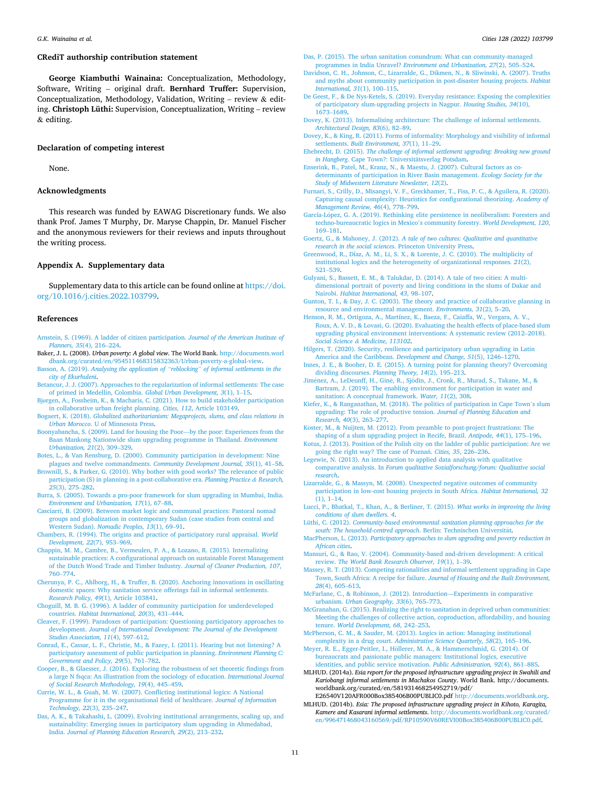## <span id="page-10-0"></span>**CRediT authorship contribution statement**

**George Kiambuthi Wainaina:** Conceptualization, Methodology, Software, Writing – original draft. **Bernhard Truffer:** Supervision, Conceptualization, Methodology, Validation, Writing – review  $\&$  editing. **Christoph Lüthi:** Supervision, Conceptualization, Writing – review & editing.

## **Declaration of competing interest**

None.

#### **Acknowledgments**

This research was funded by EAWAG Discretionary funds. We also thank Prof. James T Murphy, Dr. Maryse Chappin, Dr. Manuel Fischer and the anonymous reviewers for their reviews and inputs throughout the writing process.

## **Appendix A. Supplementary data**

Supplementary data to this article can be found online at [https://doi.](https://doi.org/10.1016/j.cities.2022.103799)  [org/10.1016/j.cities.2022.103799](https://doi.org/10.1016/j.cities.2022.103799).

#### **References**

- [Arnstein, S. \(1969\). A ladder of citizen participation.](http://refhub.elsevier.com/S0264-2751(22)00238-4/rf202206032058287244) *Journal of the American Institute of [Planners, 35](http://refhub.elsevier.com/S0264-2751(22)00238-4/rf202206032058287244)*(4), 216–224.
- Baker, J. L. (2008). *Urban poverty: A global view*. The World Bank. [http://documents.worl](http://documents.worldbank.org/curated/en/954511468315832363/Urban-poverty-a-global-view)  [dbank.org/curated/en/954511468315832363/Urban-poverty-a-global-view](http://documents.worldbank.org/curated/en/954511468315832363/Urban-poverty-a-global-view).
- Basson, A. (2019). *Analysing the application of "reblocking" [of informal settlements in the](http://refhub.elsevier.com/S0264-2751(22)00238-4/rf202206032109417131)  [city of Ekurhuleni](http://refhub.elsevier.com/S0264-2751(22)00238-4/rf202206032109417131)*.
- [Betancur, J. J. \(2007\). Approaches to the regularization of informal settlements: The case](http://refhub.elsevier.com/S0264-2751(22)00238-4/rf202206032100320386)  [of primed in Medellin, Colombia.](http://refhub.elsevier.com/S0264-2751(22)00238-4/rf202206032100320386) *Global Urban Development, 3*(1), 1–15.
- Bjø[rgen, A., Fossheim, K., & Macharis, C. \(2021\). How to build stakeholder participation](http://refhub.elsevier.com/S0264-2751(22)00238-4/rf202206032118532624)  [in collaborative urban freight planning.](http://refhub.elsevier.com/S0264-2751(22)00238-4/rf202206032118532624) *Cities, 112*, Article 103149.
- Bogaert, K. (2018). *[Globalized authoritarianism: Megaprojects, slums, and class relations in](http://refhub.elsevier.com/S0264-2751(22)00238-4/rf202206032100354252)  Urban Morocco*[. U of Minnesota Press.](http://refhub.elsevier.com/S0264-2751(22)00238-4/rf202206032100354252)
- [Boonyabancha, S. \(2009\). Land for housing the Poor](http://refhub.elsevier.com/S0264-2751(22)00238-4/rf202206032100468146)—by the poor: Experiences from the [Baan Mankong Nationwide slum upgrading programme in Thailand.](http://refhub.elsevier.com/S0264-2751(22)00238-4/rf202206032100468146) *Environment [Urbanization, 21](http://refhub.elsevier.com/S0264-2751(22)00238-4/rf202206032100468146)*(2), 309–329.
- [Botes, L., & Van Rensburg, D. \(2000\). Community participation in development: Nine](http://refhub.elsevier.com/S0264-2751(22)00238-4/rf202206032101068150) [plagues and twelve commandments.](http://refhub.elsevier.com/S0264-2751(22)00238-4/rf202206032101068150) *Community Development Journal, 35*(1), 41–58.
- [Brownill, S., & Parker, G. \(2010\). Why bother with good works? The relevance of public](http://refhub.elsevier.com/S0264-2751(22)00238-4/rf202206032118583682)  [participation \(S\) in planning in a post-collaborative era.](http://refhub.elsevier.com/S0264-2751(22)00238-4/rf202206032118583682) *Planning Practice & Research, 25*[\(3\), 275](http://refhub.elsevier.com/S0264-2751(22)00238-4/rf202206032118583682)–282.
- [Burra, S. \(2005\). Towards a pro-poor framework for slum upgrading in Mumbai, India.](http://refhub.elsevier.com/S0264-2751(22)00238-4/rf202206032118596890)  *[Environment and Urbanization, 17](http://refhub.elsevier.com/S0264-2751(22)00238-4/rf202206032118596890)*(1), 67–88.
- [Casciarri, B. \(2009\). Between market logic and communal practices: Pastoral nomad](http://refhub.elsevier.com/S0264-2751(22)00238-4/rf202206032119057820)  [groups and globalization in contemporary Sudan \(case studies from central and](http://refhub.elsevier.com/S0264-2751(22)00238-4/rf202206032119057820)  Western Sudan). *[Nomadic Peoples, 13](http://refhub.elsevier.com/S0264-2751(22)00238-4/rf202206032119057820)*(1), 69–91.
- [Chambers, R. \(1994\). The origins and practice of participatory rural appraisal.](http://refhub.elsevier.com/S0264-2751(22)00238-4/rf202206032119451954) *World [Development, 22](http://refhub.elsevier.com/S0264-2751(22)00238-4/rf202206032119451954)*(7), 953–969.
- [Chappin, M. M., Cambre, B., Vermeulen, P. A., & Lozano, R. \(2015\). Internalizing](http://refhub.elsevier.com/S0264-2751(22)00238-4/rf202206032101132894) sustainable practices: A configurational approach on sustainable Forest Management [of the Dutch Wood Trade and Timber Industry.](http://refhub.elsevier.com/S0264-2751(22)00238-4/rf202206032101132894) *Journal of Cleaner Production, 107*, 760–[774](http://refhub.elsevier.com/S0264-2751(22)00238-4/rf202206032101132894).
- [Cherunya, P. C., Ahlborg, H., & Truffer, B. \(2020\). Anchoring innovations in oscillating](http://refhub.elsevier.com/S0264-2751(22)00238-4/rf202206032119467607)  [domestic spaces: Why sanitation service offerings fail in informal settlements.](http://refhub.elsevier.com/S0264-2751(22)00238-4/rf202206032119467607) *Research Policy, 49*[\(1\), Article 103841](http://refhub.elsevier.com/S0264-2751(22)00238-4/rf202206032119467607).
- [Choguill, M. B. G. \(1996\). A ladder of community participation for underdeveloped](http://refhub.elsevier.com/S0264-2751(22)00238-4/rf202206032119480077) countries. *[Habitat International, 20](http://refhub.elsevier.com/S0264-2751(22)00238-4/rf202206032119480077)*(3), 431–444.
- [Cleaver, F. \(1999\). Paradoxes of participation: Questioning participatory approaches to](http://refhub.elsevier.com/S0264-2751(22)00238-4/rf202206032101156849) development. Journal of International Development: The Journal of the Development *[Studies Association, 11](http://refhub.elsevier.com/S0264-2751(22)00238-4/rf202206032101156849)*(4), 597–612.
- [Conrad, E., Cassar, L. F., Christie, M., & Fazey, I. \(2011\). Hearing but not listening? A](http://refhub.elsevier.com/S0264-2751(22)00238-4/rf202206032101309861)  [participatory assessment of public participation in planning.](http://refhub.elsevier.com/S0264-2751(22)00238-4/rf202206032101309861) *Environment Planning C: [Government and Policy, 29](http://refhub.elsevier.com/S0264-2751(22)00238-4/rf202206032101309861)*(5), 761–782. [Cooper, B., & Glaesser, J. \(2016\). Exploring the robustness of set theoretic findings from](http://refhub.elsevier.com/S0264-2751(22)00238-4/rf202206032119506251)
- [a large N fsqca: An illustration from the sociology of education.](http://refhub.elsevier.com/S0264-2751(22)00238-4/rf202206032119506251) *International Journal [of Social Research Methodology, 19](http://refhub.elsevier.com/S0264-2751(22)00238-4/rf202206032119506251)*(4), 445–459.
- [Currie, W. L., & Guah, M. W. \(2007\). Conflicting institutional logics: A National](http://refhub.elsevier.com/S0264-2751(22)00238-4/rf202206032119515911) [Programme for it in the organisational field of healthcare.](http://refhub.elsevier.com/S0264-2751(22)00238-4/rf202206032119515911) *Journal of Information [Technology, 22](http://refhub.elsevier.com/S0264-2751(22)00238-4/rf202206032119515911)*(3), 235–247.
- [Das, A. K., & Takahashi, L. \(2009\). Evolving institutional arrangements, scaling up, and](http://refhub.elsevier.com/S0264-2751(22)00238-4/rf202206032103491572)  [sustainability: Emerging issues in participatory slum upgrading in Ahmedabad,](http://refhub.elsevier.com/S0264-2751(22)00238-4/rf202206032103491572)  India. *[Journal of Planning Education Research, 29](http://refhub.elsevier.com/S0264-2751(22)00238-4/rf202206032103491572)*(2), 213–232.
- Das, P. (2015). The urban sanitation conundrum: What can community-managed programmes in India Unravel? *[Environment and Urbanization, 27](http://refhub.elsevier.com/S0264-2751(22)00238-4/rf202206032119548243)*(2), 505–524.
- [Davidson, C. H., Johnson, C., Lizarralde, G., Dikmen, N., & Sliwinski, A. \(2007\). Truths](http://refhub.elsevier.com/S0264-2751(22)00238-4/rf202206032109441856)  [and myths about community participation in post-disaster housing projects.](http://refhub.elsevier.com/S0264-2751(22)00238-4/rf202206032109441856) *Habitat [International, 31](http://refhub.elsevier.com/S0264-2751(22)00238-4/rf202206032109441856)*(1), 100–115.
- [De Geest, F., & De Nys-Ketels, S. \(2019\). Everyday resistance: Exposing the complexities](http://refhub.elsevier.com/S0264-2751(22)00238-4/rf202206032109472254)  [of participatory slum-upgrading projects in Nagpur.](http://refhub.elsevier.com/S0264-2751(22)00238-4/rf202206032109472254) *Housing Studies, 34*(10), [1673](http://refhub.elsevier.com/S0264-2751(22)00238-4/rf202206032109472254)–1689.
- [Dovey, K. \(2013\). Informalising architecture: The challenge of informal settlements.](http://refhub.elsevier.com/S0264-2751(22)00238-4/rf202206032109505159) *[Architectural Design, 83](http://refhub.elsevier.com/S0264-2751(22)00238-4/rf202206032109505159)*(6), 82–89.
- [Dovey, K., & King, R. \(2011\). Forms of informality: Morphology and visibility of informal](http://refhub.elsevier.com/S0264-2751(22)00238-4/rf202206032112366528)  settlements. *[Built Environment, 37](http://refhub.elsevier.com/S0264-2751(22)00238-4/rf202206032112366528)*(1), 11–29.
- Ehebrecht, D. (2015). *[The challenge of informal settlement upgrading: Breaking new ground](http://refhub.elsevier.com/S0264-2751(22)00238-4/rf202206032057255446)*  in Hangberg[. Cape Town?: Universit](http://refhub.elsevier.com/S0264-2751(22)00238-4/rf202206032057255446)ätsverlag Potsdam.
- [Enserink, B., Patel, M., Kranz, N., & Maestu, J. \(2007\). Cultural factors as co](http://refhub.elsevier.com/S0264-2751(22)00238-4/rf202206032043177214)[determinants of participation in River Basin management.](http://refhub.elsevier.com/S0264-2751(22)00238-4/rf202206032043177214) *Ecology Society for the [Study of Midwestern Literature Newsletter, 12](http://refhub.elsevier.com/S0264-2751(22)00238-4/rf202206032043177214)*(2).
- [Furnari, S., Crilly, D., Misangyi, V. F., Greckhamer, T., Fiss, P. C., & Aguilera, R. \(2020\).](http://refhub.elsevier.com/S0264-2751(22)00238-4/rf202206032043324889)  [Capturing causal complexity: Heuristics for configurational theorizing.](http://refhub.elsevier.com/S0264-2751(22)00238-4/rf202206032043324889) *Academy of [Management Review, 46](http://refhub.elsevier.com/S0264-2751(22)00238-4/rf202206032043324889)*(4), 778–799.
- García-López, [G. A. \(2019\). Rethinking elite persistence in neoliberalism: Foresters and](http://refhub.elsevier.com/S0264-2751(22)00238-4/rf202206032112386840) [techno-bureaucratic logics in Mexico](http://refhub.elsevier.com/S0264-2751(22)00238-4/rf202206032112386840)'s community forestry. *World Development, 120*, 169–[181](http://refhub.elsevier.com/S0264-2751(22)00238-4/rf202206032112386840).
- Goertz, G., & Mahoney, J. (2012). *[A tale of two cultures: Qualitative and quantitative](http://refhub.elsevier.com/S0264-2751(22)00238-4/rf202206032043342456)  [research in the social sciences](http://refhub.elsevier.com/S0264-2751(22)00238-4/rf202206032043342456)*. Princeton University Press.
- [Greenwood, R., Díaz, A. M., Li, S. X., & Lorente, J. C. \(2010\). The multiplicity of](http://refhub.elsevier.com/S0264-2751(22)00238-4/rf202206032044030229)  [institutional logics and the heterogeneity of organizational responses](http://refhub.elsevier.com/S0264-2751(22)00238-4/rf202206032044030229)*. 21*(2), 521–[539](http://refhub.elsevier.com/S0264-2751(22)00238-4/rf202206032044030229).
- [Gulyani, S., Bassett, E. M., & Talukdar, D. \(2014\). A tale of two cities: A multi](http://refhub.elsevier.com/S0264-2751(22)00238-4/rf202206032115054999)[dimensional portrait of poverty and living conditions in the slums of Dakar and](http://refhub.elsevier.com/S0264-2751(22)00238-4/rf202206032115054999) Nairobi. *[Habitat International, 43](http://refhub.elsevier.com/S0264-2751(22)00238-4/rf202206032115054999)*, 98–107.
- [Gunton, T. I., & Day, J. C. \(2003\). The theory and practice of collaborative planning in](http://refhub.elsevier.com/S0264-2751(22)00238-4/rf202206032044087518)  [resource and environmental management.](http://refhub.elsevier.com/S0264-2751(22)00238-4/rf202206032044087518) *Environments, 31*(2), 5–20.
- [Henson, R. M., Ortigoza, A., Martínez, K., Baeza, F., Caiaffa, W., Vergara, A. V.,](http://refhub.elsevier.com/S0264-2751(22)00238-4/rf202206032044110264)  [Roux, A. V. D., & Lovasi, G. \(2020\). Evaluating the health effects of place-based slum](http://refhub.elsevier.com/S0264-2751(22)00238-4/rf202206032044110264)  [upgrading physical environment interventions: A systematic review \(2012](http://refhub.elsevier.com/S0264-2751(22)00238-4/rf202206032044110264)–2018). *Social Science & [Medicine, 113102](http://refhub.elsevier.com/S0264-2751(22)00238-4/rf202206032044110264)*.
- [Hilgers, T. \(2020\). Security, resilience and participatory urban upgrading in Latin](http://refhub.elsevier.com/S0264-2751(22)00238-4/rf202206032115092078) [America and the Caribbean.](http://refhub.elsevier.com/S0264-2751(22)00238-4/rf202206032115092078) *Development and Change, 51*(5), 1246–1270.
- [Innes, J. E., & Booher, D. E. \(2015\). A turning point for planning theory? Overcoming](http://refhub.elsevier.com/S0264-2751(22)00238-4/rf202206032115141046)  [dividing discourses.](http://refhub.elsevier.com/S0264-2751(22)00238-4/rf202206032115141046) *Planning Theory, 14*(2), 195–213.
- Jiménez, A., LeDeunff, H., Giné, R., Sjödin, [J., Cronk, R., Murad, S., Takane, M., &](http://refhub.elsevier.com/S0264-2751(22)00238-4/rf202206032115169661) Bartram, J. (2019). The enabling environment for participation in water and [sanitation: A conceptual framework.](http://refhub.elsevier.com/S0264-2751(22)00238-4/rf202206032115169661) *Water, 11*(2), 308.
- [Kiefer, K., & Ranganathan, M. \(2018\). The politics of participation in Cape Town](http://refhub.elsevier.com/S0264-2751(22)00238-4/rf202206032044167133)'s slum [upgrading: The role of productive tension.](http://refhub.elsevier.com/S0264-2751(22)00238-4/rf202206032044167133) *Journal of Planning Education and [Research, 40](http://refhub.elsevier.com/S0264-2751(22)00238-4/rf202206032044167133)*(3), 263–277.
- [Koster, M., & Nuijten, M. \(2012\). From preamble to post-project frustrations: The](http://refhub.elsevier.com/S0264-2751(22)00238-4/rf202206032115184101) [shaping of a slum upgrading project in Recife, Brazil.](http://refhub.elsevier.com/S0264-2751(22)00238-4/rf202206032115184101) *Antipode, 44*(1), 175–196.
- [Kotus, J. \(2013\). Position of the Polish city on the ladder of public participation: Are we](http://refhub.elsevier.com/S0264-2751(22)00238-4/rf202206032044484226)  going the right way? The case of Poznań. *Cities*, 35, 226–236.
- [Legewie, N. \(2013\). An introduction to applied data analysis with qualitative](http://refhub.elsevier.com/S0264-2751(22)00238-4/rf202206032045192850) comparative analysis. In *[Forum qualitative Sozialforschung/forum: Qualitative social](http://refhub.elsevier.com/S0264-2751(22)00238-4/rf202206032045192850) [research](http://refhub.elsevier.com/S0264-2751(22)00238-4/rf202206032045192850)*.
- [Lizarralde, G., & Massyn, M. \(2008\). Unexpected negative outcomes of community](http://refhub.elsevier.com/S0264-2751(22)00238-4/rf202206032115199236)  [participation in low-cost housing projects in South Africa.](http://refhub.elsevier.com/S0264-2751(22)00238-4/rf202206032115199236) *Habitat International, 32*  [\(1\), 1](http://refhub.elsevier.com/S0264-2751(22)00238-4/rf202206032115199236)–14.
- [Lucci, P., Bhatkal, T., Khan, A., & Berliner, T. \(2015\).](http://refhub.elsevier.com/S0264-2751(22)00238-4/rf202206032104071297) *What works in improving the living [conditions of slum dwellers. 4](http://refhub.elsevier.com/S0264-2751(22)00238-4/rf202206032104071297)*.
- Lüthi, C. (2012). *[Community-based environmental sanitation planning approaches for the](http://refhub.elsevier.com/S0264-2751(22)00238-4/rf202206032049363883)*  [south: The household-centred approach](http://refhub.elsevier.com/S0264-2751(22)00238-4/rf202206032049363883). Berlin: Technischen Universität.
- MacPherson, L. (2013). *[Participatory approaches to slum upgrading and poverty reduction in](http://refhub.elsevier.com/S0264-2751(22)00238-4/rf202206032104264203)  [African cities](http://refhub.elsevier.com/S0264-2751(22)00238-4/rf202206032104264203)*.
- [Mansuri, G., & Rao, V. \(2004\). Community-based and-driven development: A critical](http://refhub.elsevier.com/S0264-2751(22)00238-4/rf202206032049388671)  review. *[The World Bank Research Observer, 19](http://refhub.elsevier.com/S0264-2751(22)00238-4/rf202206032049388671)*(1), 1–39.
- [Massey, R. T. \(2013\). Competing rationalities and informal settlement upgrading in Cape](http://refhub.elsevier.com/S0264-2751(22)00238-4/rf202206032115227408)  Town, South Africa: A recipe for failure. *[Journal of Housing and the Built Environment,](http://refhub.elsevier.com/S0264-2751(22)00238-4/rf202206032115227408)  28*[\(4\), 605](http://refhub.elsevier.com/S0264-2751(22)00238-4/rf202206032115227408)–613.
- [McFarlane, C., & Robinson, J. \(2012\). Introduction](http://refhub.elsevier.com/S0264-2751(22)00238-4/rf202206032115256921)—Experiments in comparative urbanism. *[Urban Geography, 33](http://refhub.elsevier.com/S0264-2751(22)00238-4/rf202206032115256921)*(6), 765–773.
- [McGranahan, G. \(2015\). Realizing the right to sanitation in deprived urban communities:](http://refhub.elsevier.com/S0264-2751(22)00238-4/rf202206032054234704)  [Meeting the challenges of collective action, coproduction, affordability, and housing](http://refhub.elsevier.com/S0264-2751(22)00238-4/rf202206032054234704)  tenure. *[World Development, 68](http://refhub.elsevier.com/S0264-2751(22)00238-4/rf202206032054234704)*, 242–253.
- [McPherson, C. M., & Sauder, M. \(2013\). Logics in action: Managing institutional](http://refhub.elsevier.com/S0264-2751(22)00238-4/rf202206032115303751)
- complexity in a drug court. *[Administrative Science Quarterly, 58](http://refhub.elsevier.com/S0264-2751(22)00238-4/rf202206032115303751)*(2), 165–196. Meyer, R. E., Egger-Peitler, I., Höllerer, M. A., & Hammerschmid, G. (2014). Of [bureaucrats and passionate public managers: Institutional logics, executive](http://refhub.elsevier.com/S0264-2751(22)00238-4/rf202206032115588081)
- [identities, and public service motivation.](http://refhub.elsevier.com/S0264-2751(22)00238-4/rf202206032115588081) *Public Administration, 92*(4), 861–885. MLHUD. (2014a). *Esia report for the proposed infrastructure upgrading project in Swahili and*
- *Kariobangi informal settlements in Machakos County*. World Bank. http://documents. worldbank.org/curated/en/581931468254952719/pdf/ E26540V120AFR000Box385406B00PUBLIC0.pdf [http://documents.worldbank.org.](http://documents.worldbank.org)
- MLHUD. (2014b). *Esia: The proposed infrastructure upgrading project in Kihoto, Karagita, Kamere and Kasarani informal settlements*. [http://documents.worldbank.org/curated/](http://documents.worldbank.org/curated/en/996471468043160569/pdf/RP10590V60REVI00Box385406B00PUBLIC0.pdf)  [en/996471468043160569/pdf/RP10590V60REVI00Box385406B00PUBLIC0.pdf](http://documents.worldbank.org/curated/en/996471468043160569/pdf/RP10590V60REVI00Box385406B00PUBLIC0.pdf).